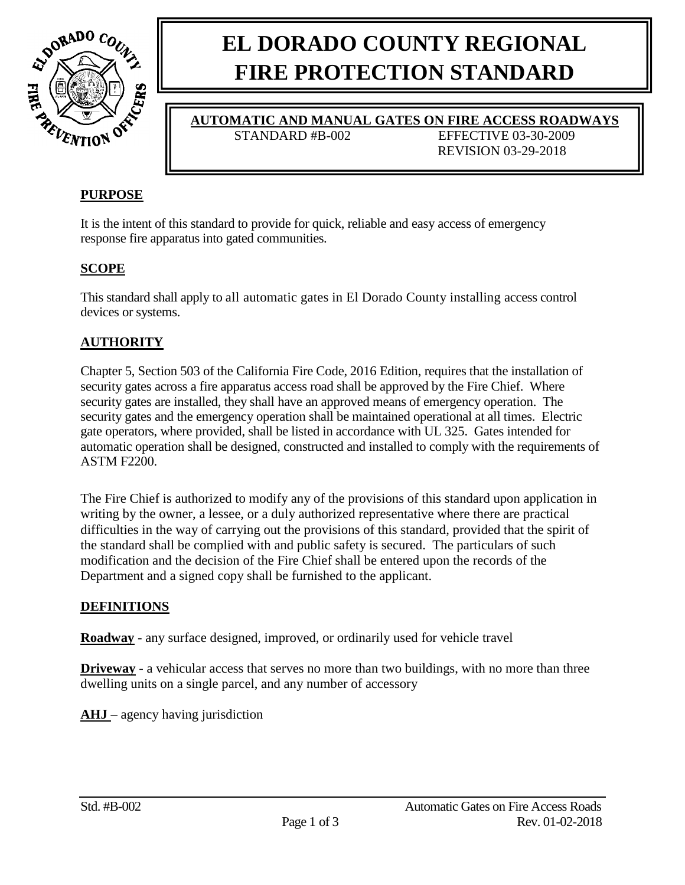

# **EL DORADO COUNTY REGIONAL FIRE PROTECTION STANDARD**

**AUTOMATIC AND MANUAL GATES ON FIRE ACCESS ROADWAYS**

STANDARD #B-002 EFFECTIVE 03-30-2009

REVISION 03-29-2018

# **PURPOSE**

It is the intent of this standard to provide for quick, reliable and easy access of emergency response fire apparatus into gated communities.

# **SCOPE**

This standard shall apply to all automatic gates in El Dorado County installing access control devices or systems.

# **AUTHORITY**

Chapter 5, Section 503 of the California Fire Code, 2016 Edition, requires that the installation of security gates across a fire apparatus access road shall be approved by the Fire Chief. Where security gates are installed, they shall have an approved means of emergency operation. The security gates and the emergency operation shall be maintained operational at all times. Electric gate operators, where provided, shall be listed in accordance with UL 325. Gates intended for automatic operation shall be designed, constructed and installed to comply with the requirements of ASTM F2200.

The Fire Chief is authorized to modify any of the provisions of this standard upon application in writing by the owner, a lessee, or a duly authorized representative where there are practical difficulties in the way of carrying out the provisions of this standard, provided that the spirit of the standard shall be complied with and public safety is secured. The particulars of such modification and the decision of the Fire Chief shall be entered upon the records of the Department and a signed copy shall be furnished to the applicant.

# **DEFINITIONS**

**Roadway** - any surface designed, improved, or ordinarily used for vehicle travel

**Driveway** - a vehicular access that serves no more than two buildings, with no more than three dwelling units on a single parcel, and any number of accessory

**AHJ** – agency having jurisdiction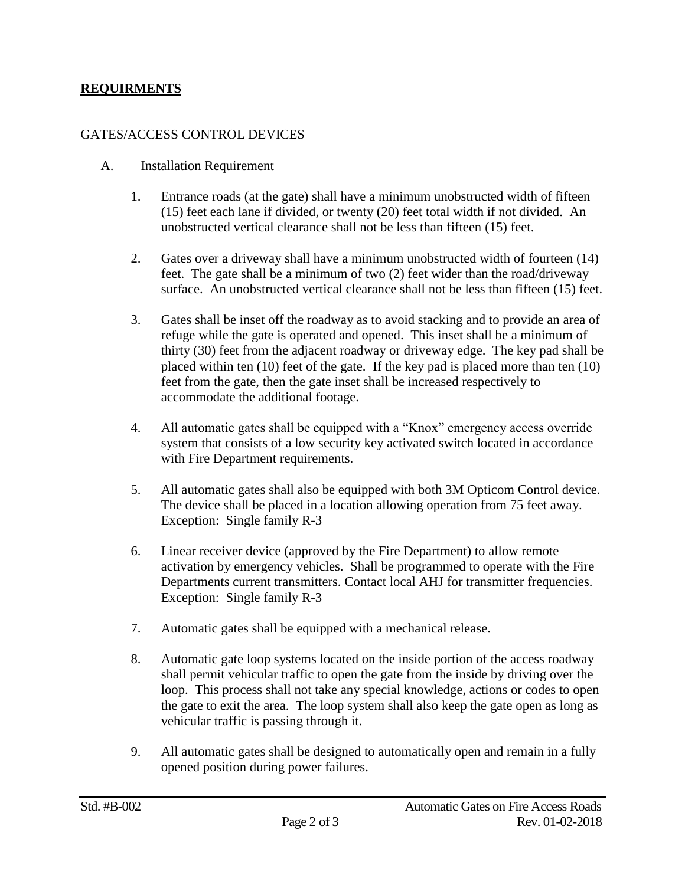#### **REQUIRMENTS**

#### GATES/ACCESS CONTROL DEVICES

#### A. Installation Requirement

- 1. Entrance roads (at the gate) shall have a minimum unobstructed width of fifteen (15) feet each lane if divided, or twenty (20) feet total width if not divided. An unobstructed vertical clearance shall not be less than fifteen (15) feet.
- 2. Gates over a driveway shall have a minimum unobstructed width of fourteen (14) feet. The gate shall be a minimum of two (2) feet wider than the road/driveway surface. An unobstructed vertical clearance shall not be less than fifteen (15) feet.
- 3. Gates shall be inset off the roadway as to avoid stacking and to provide an area of refuge while the gate is operated and opened. This inset shall be a minimum of thirty (30) feet from the adjacent roadway or driveway edge. The key pad shall be placed within ten (10) feet of the gate. If the key pad is placed more than ten (10) feet from the gate, then the gate inset shall be increased respectively to accommodate the additional footage.
- 4. All automatic gates shall be equipped with a "Knox" emergency access override system that consists of a low security key activated switch located in accordance with Fire Department requirements.
- 5. All automatic gates shall also be equipped with both 3M Opticom Control device. The device shall be placed in a location allowing operation from 75 feet away. Exception: Single family R-3
- 6. Linear receiver device (approved by the Fire Department) to allow remote activation by emergency vehicles. Shall be programmed to operate with the Fire Departments current transmitters. Contact local AHJ for transmitter frequencies. Exception: Single family R-3
- 7. Automatic gates shall be equipped with a mechanical release.
- 8. Automatic gate loop systems located on the inside portion of the access roadway shall permit vehicular traffic to open the gate from the inside by driving over the loop. This process shall not take any special knowledge, actions or codes to open the gate to exit the area. The loop system shall also keep the gate open as long as vehicular traffic is passing through it.
- 9. All automatic gates shall be designed to automatically open and remain in a fully opened position during power failures.